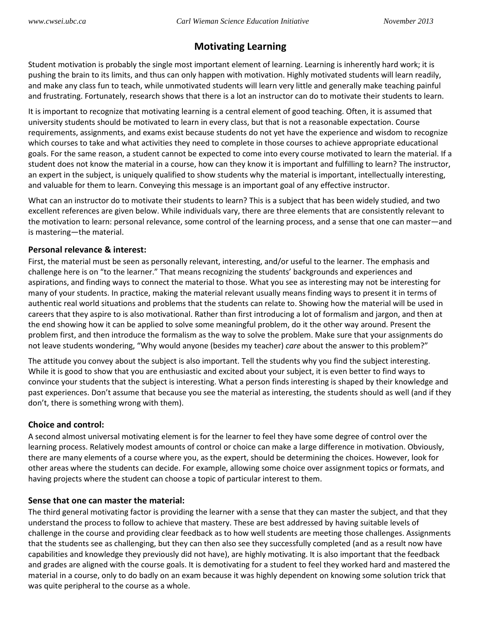# **Motivating Learning**

Student motivation is probably the single most important element of learning. Learning is inherently hard work; it is pushing the brain to its limits, and thus can only happen with motivation. Highly motivated students will learn readily, and make any class fun to teach, while unmotivated students will learn very little and generally make teaching painful and frustrating. Fortunately, research shows that there is a lot an instructor can do to motivate their students to learn.

It is important to recognize that motivating learning is a central element of good teaching. Often, it is assumed that university students should be motivated to learn in every class, but that is not a reasonable expectation. Course requirements, assignments, and exams exist because students do not yet have the experience and wisdom to recognize which courses to take and what activities they need to complete in those courses to achieve appropriate educational goals. For the same reason, a student cannot be expected to come into every course motivated to learn the material. If a student does not know the material in a course, how can they know it is important and fulfilling to learn? The instructor, an expert in the subject, is uniquely qualified to show students why the material is important, intellectually interesting, and valuable for them to learn. Conveying this message is an important goal of any effective instructor.

What can an instructor do to motivate their students to learn? This is a subject that has been widely studied, and two excellent references are given below. While individuals vary, there are three elements that are consistently relevant to the motivation to learn: personal relevance, some control of the learning process, and a sense that one can master—and is mastering—the material.

#### **Personal relevance & interest:**

First, the material must be seen as personally relevant, interesting, and/or useful to the learner. The emphasis and challenge here is on "to the learner." That means recognizing the students' backgrounds and experiences and aspirations, and finding ways to connect the material to those. What you see as interesting may not be interesting for many of your students. In practice, making the material relevant usually means finding ways to present it in terms of authentic real world situations and problems that the students can relate to. Showing how the material will be used in careers that they aspire to is also motivational. Rather than first introducing a lot of formalism and jargon, and then at the end showing how it can be applied to solve some meaningful problem, do it the other way around. Present the problem first, and then introduce the formalism as the way to solve the problem. Make sure that your assignments do not leave students wondering, "Why would anyone (besides my teacher) *care* about the answer to this problem?"

The attitude you convey about the subject is also important. Tell the students why you find the subject interesting. While it is good to show that you are enthusiastic and excited about your subject, it is even better to find ways to convince your students that the subject is interesting. What a person finds interesting is shaped by their knowledge and past experiences. Don't assume that because you see the material as interesting, the students should as well (and if they don't, there is something wrong with them).

## **Choice and control:**

A second almost universal motivating element is for the learner to feel they have some degree of control over the learning process. Relatively modest amounts of control or choice can make a large difference in motivation. Obviously, there are many elements of a course where you, as the expert, should be determining the choices. However, look for other areas where the students can decide. For example, allowing some choice over assignment topics or formats, and having projects where the student can choose a topic of particular interest to them.

## **Sense that one can master the material:**

The third general motivating factor is providing the learner with a sense that they can master the subject, and that they understand the process to follow to achieve that mastery. These are best addressed by having suitable levels of challenge in the course and providing clear feedback as to how well students are meeting those challenges. Assignments that the students see as challenging, but they can then also see they successfully completed (and as a result now have capabilities and knowledge they previously did not have), are highly motivating. It is also important that the feedback and grades are aligned with the course goals. It is demotivating for a student to feel they worked hard and mastered the material in a course, only to do badly on an exam because it was highly dependent on knowing some solution trick that was quite peripheral to the course as a whole.